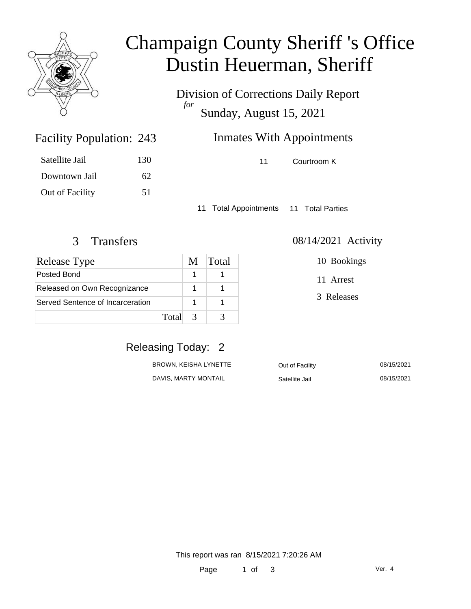

### Champaign County Sheriff 's Office Dustin Heuerman, Sheriff

Division of Corrections Daily Report *for* Sunday, August 15, 2021

### Inmates With Appointments

11 Courtroom K

Satellite Jail 130 Downtown Jail 62 Out of Facility 51

Facility Population: 243

11 Total Appointments 11 Total Parties

| <b>Release Type</b>              | M | Total |
|----------------------------------|---|-------|
| Posted Bond                      |   |       |
| Released on Own Recognizance     |   |       |
| Served Sentence of Incarceration |   |       |
| Total                            |   |       |

3 Transfers 08/14/2021 Activity

10 Bookings

11 Arrest

3 Releases

### Releasing Today: 2

| BROWN, KEISHA LYNETTE | Out of Facility | 08/15/2021 |
|-----------------------|-----------------|------------|
| DAVIS, MARTY MONTAIL  | Satellite Jail  | 08/15/2021 |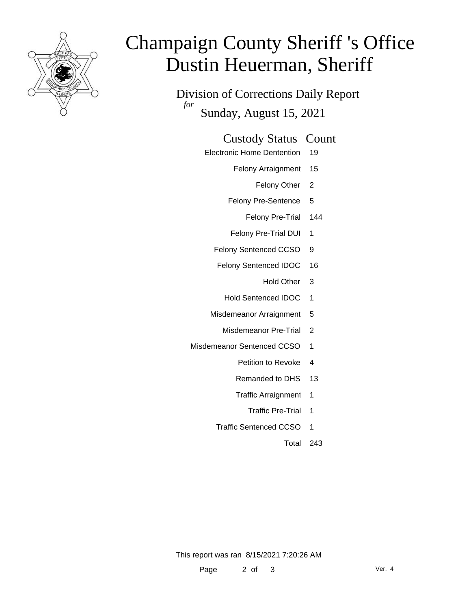

# Champaign County Sheriff 's Office Dustin Heuerman, Sheriff

Division of Corrections Daily Report *for* Sunday, August 15, 2021

#### Custody Status Count

- Electronic Home Dentention 19
	- Felony Arraignment 15
		- Felony Other 2
	- Felony Pre-Sentence 5
		- Felony Pre-Trial 144
	- Felony Pre-Trial DUI 1
	- Felony Sentenced CCSO 9
	- Felony Sentenced IDOC 16
		- Hold Other 3
		- Hold Sentenced IDOC 1
	- Misdemeanor Arraignment 5
		- Misdemeanor Pre-Trial 2
- Misdemeanor Sentenced CCSO 1
	- Petition to Revoke 4
	- Remanded to DHS 13
	- Traffic Arraignment 1
		- Traffic Pre-Trial 1
	- Traffic Sentenced CCSO 1
		- Total 243